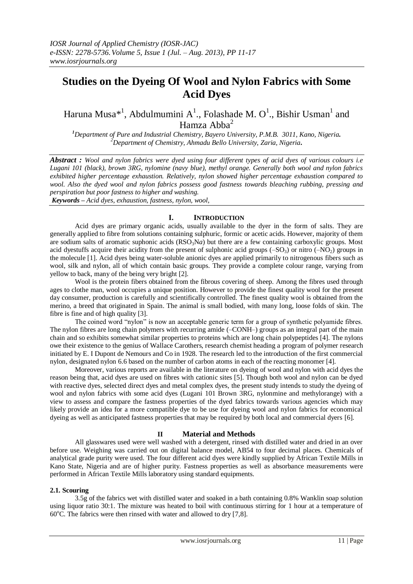# **Studies on the Dyeing Of Wool and Nylon Fabrics with Some Acid Dyes**

Haruna Musa $^{*1}$ , Abdulmumini A<sup>1</sup>., Folashade M. O<sup>1</sup>., Bishir Usman<sup>1</sup> and Hamza Abba<sup>2</sup>

*<sup>1</sup>Department of Pure and Industrial Chemistry, Bayero University, P.M.B. 3011, Kano, Nigeria. <sup>2</sup>Department of Chemistry, Ahmadu Bello University, Zaria, Nigeria.*

*Abstract : Wool and nylon fabrics were dyed using four different types of acid dyes of various colours i.e Lugani 101 (black), brown 3RG, nylomine (navy blue), methyl orange. Generally both wool and nylon fabrics exhibited higher percentage exhaustion. Relatively, nylon showed higher percentage exhaustion compared to wool. Also the dyed wool and nylon fabrics possess good fastness towards bleaching rubbing, pressing and perspiration but poor fastness to higher and washing.*

*Keywords – Acid dyes, exhaustion, fastness, nylon, wool,* 

# **I. INTRODUCTION**

Acid dyes are primary organic acids, usually available to the dyer in the form of salts. They are generally applied to fibre from solutions containing sulphuric, formic or acetic acids. However, majority of them are sodium salts of aromatic suphonic acids  $(RSO<sub>3</sub>Na)$  but there are a few containing carboxylic groups. Most acid dyestuffs acquire their acidity from the present of sulphonic acid groups  $(-SO_3)$  or nitro  $(-NO_2)$  groups in the molecule [1]. Acid dyes being water-soluble anionic dyes are applied primarily to nitrogenous fibers such as wool, silk and nylon, all of which contain basic groups. They provide a complete colour range, varying from yellow to back, many of the being very bright [2].

Wool is the protein fibers obtained from the fibrous covering of sheep. Among the fibres used through ages to clothe man, wool occupies a unique position. However to provide the finest quality wool for the present day consumer, production is carefully and scientifically controlled. The finest quality wool is obtained from the merino, a breed that originated in Spain. The animal is small bodied, with many long, loose folds of skin. The fibre is fine and of high quality [3].

The coined word "nylon" is now an acceptable generic term for a group of synthetic polyamide fibres. The nylon fibres are long chain polymers with recurring amide (–CONH–) groups as an integral part of the main chain and so exhibits somewhat similar properties to proteins which are long chain polypeptides [4]. The nylons owe their existence to the genius of Wallace Carothers, research chemist heading a program of polymer research initiated by E. I Dupont de Nemours and Co in 1928. The research led to the introduction of the first commercial nylon, designated nylon 6.6 based on the number of carbon atoms in each of the reacting monomer [4].

Moreover, various reports are available in the literature on dyeing of wool and nylon with acid dyes the reason being that, acid dyes are used on fibres with cationic sites [5]. Though both wool and nylon can be dyed with reactive dyes, selected direct dyes and metal complex dyes, the present study intends to study the dyeing of wool and nylon fabrics with some acid dyes (Lugani 101 Brown 3RG, nylonmine and methylorange) with a view to assess and compare the fastness properties of the dyed fabrics towards various agencies which may likely provide an idea for a more compatible dye to be use for dyeing wool and nylon fabrics for economical dyeing as well as anticipated fastness properties that may be required by both local and commercial dyers [6].

#### **II Material and Methods**

All glasswares used were well washed with a detergent, rinsed with distilled water and dried in an over before use. Weighing was carried out on digital balance model, AB54 to four decimal places. Chemicals of analytical grade purity were used. The four different acid dyes were kindly supplied by African Textile Mills in Kano State, Nigeria and are of higher purity. Fastness properties as well as absorbance measurements were performed in African Textile Mills laboratory using standard equipments.

#### **2.1. Scouring**

3.5g of the fabrics wet with distilled water and soaked in a bath containing 0.8% Wanklin soap solution using liquor ratio 30:1. The mixture was heated to boil with continuous stirring for 1 hour at a temperature of  $60^{\circ}$ C. The fabrics were then rinsed with water and allowed to dry [7,8].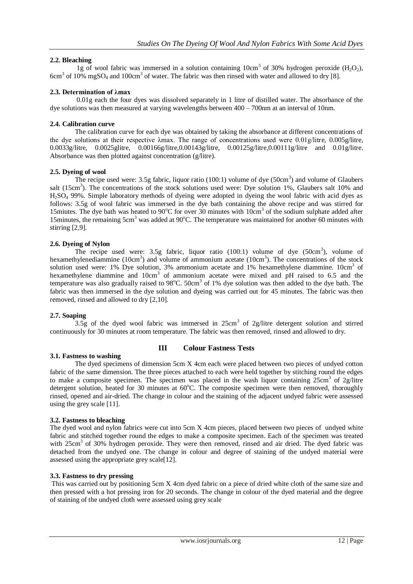# **2.2. Bleaching**

1g of wool fabric was immersed in a solution containing 10cm<sup>3</sup> of 30% hydrogen peroxide (H<sub>2</sub>O<sub>2</sub>),  $6cm<sup>3</sup>$  of 10% mgSO<sub>4</sub> and 100cm<sup>3</sup> of water. The fabric was then rinsed with water and allowed to dry [8].

# **2.3. Determination of λmax**

0.01g each the four dyes was dissolved separately in 1 litre of distilled water. The absorbance of the dye solutions was then measured at varying wavelengths between 400 – 700nm at an interval of 10nm.

# **2.4. Calibration curve**

The calibration curve for each dye was obtained by taking the absorbance at different concentrations of the dye solutions at their respective λmax. The range of concentrations used were 0.01g/litre, 0.005g/litre, 0.0033g/litre, 0.0025glitre, 0.00166g/litre,0.00143g/litre, 0.00125g/litre,0.00111g/litre and 0.01g/litre. Absorbance was then plotted against concentration (g/litre).

## **2.5. Dyeing of wool**

The recipe used were: 3.5g fabric, liquor ratio  $(100:1)$  volume of dye  $(50cm<sup>3</sup>)$  and volume of Glaubers salt (15cm<sup>3</sup>). The concentrations of the stock solutions used were: Dye solution 1%, Glaubers salt 10% and H2SO<sup>4</sup> 99%. Simple laboratory methods of dyeing were adopted in dyeing the wool fabric with acid dyes as follows: 3.5g of wool fabric was immersed in the dye bath containing the above recipe and was stirred for 15 miutes. The dye bath was heated to 90 $^{\circ}$ C for over 30 minutes with 10cm<sup>3</sup> of the sodium sulphate added after 15 minutes, the remaining  $5 \text{cm}^3$  was added at 90 $^{\circ}$ C. The temperature was maintained for another 60 minutes with stirring [2,9].

# **2.6. Dyeing of Nylon**

The recipe used were:  $3.5g$  fabric, liquor ratio (100:1) volume of dye (50cm<sup>3</sup>), volume of hexamethylenediammine (10cm<sup>3</sup>) and volume of ammonium acetate (10cm<sup>3</sup>). The concentrations of the stock solution used were: 1% Dye solution, 3% ammonium acetate and 1% hexamethylene diammine. 10cm<sup>3</sup> of hexamethylene diammine and 10cm<sup>3</sup> of ammonium acetate were mixed and pH raised to 6.5 and the temperature was also gradually raised to  $98^{\circ}$ C. 50cm<sup>3</sup> of 1% dye solution was then added to the dye bath. The fabric was then immersed in the dye solution and dyeing was carried out for 45 minutes. The fabric was then removed, rinsed and allowed to dry [2,10].

# **2.7. Soaping**

3.5g of the dyed wool fabric was immersed in  $25 \text{cm}^3$  of  $2 \text{g/litre}$  detergent solution and stirred continuously for 30 minutes at room temperature. The fabric was then removed, rinsed and allowed to dry.

# **3.1. Fastness to washing**

# **III Colour Fastness Tests**

The dyed specimens of dimension 5cm X 4cm each were placed between two pieces of undyed cotton fabric of the same dimension. The three pieces attached to each were held together by stitching round the edges to make a composite specimen. The specimen was placed in the wash liquor containing 25cm<sup>3</sup> of 2g/litre detergent solution, heated for 30 minutes at 60°C. The composite specimen were then removed, thoroughly rinsed, opened and air-dried. The change in colour and the staining of the adjacent undyed fabric were assessed using the grey scale [11].

# **3.2. Fastness to bleaching**

The dyed wool and nylon fabrics were cut into 5cm X 4cm pieces, placed between two pieces of undyed white fabric and stitched together round the edges to make a composite specimen. Each of the specimen was treated with 25cm<sup>3</sup> of 30% hydrogen peroxide. They were then removed, rinsed and air dried. The dyed fabric was detached from the undyed one. The change in colour and degree of staining of the undyed material were assessed using the appropriate grey scale[12].

# **3.3. Fastness to dry pressing**

This was carried out by positioning 5cm X 4cm dyed fabric on a piece of dried white cloth of the same size and then pressed with a hot pressing iron for 20 seconds. The change in colour of the dyed material and the degree of staining of the undyed cloth were assessed using grey scale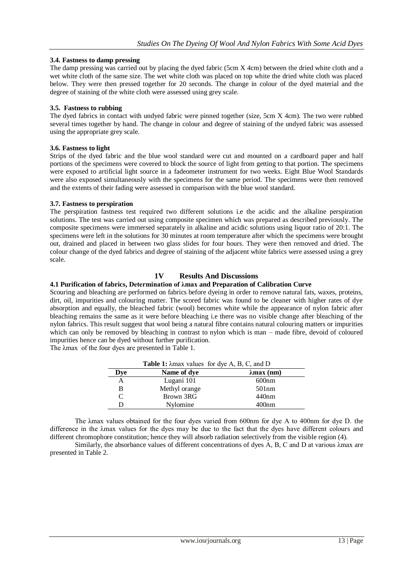## **3.4. Fastness to damp pressing**

The damp pressing was carried out by placing the dyed fabric (5cm X 4cm) between the dried white cloth and a wet white cloth of the same size. The wet white cloth was placed on top white the dried white cloth was placed below. They were then pressed together for 20 seconds. The change in colour of the dyed material and the degree of staining of the white cloth were assessed using grey scale.

## **3.5. Fastness to rubbing**

The dyed fabrics in contact with undyed fabric were pinned together (size, 5cm X 4cm). The two were rubbed several times together by hand. The change in colour and degree of staining of the undyed fabric was assessed using the appropriate grey scale.

## **3.6. Fastness to light**

Strips of the dyed fabric and the blue wool standard were cut and mounted on a cardboard paper and half portions of the specimens were covered to block the source of light from getting to that portion. The specimens were exposed to artificial light source in a fadeometer instrument for two weeks. Eight Blue Wool Standards were also exposed simultaneously with the specimens for the same period. The specimens were then removed and the extents of their fading were assessed in comparison with the blue wool standard.

## **3.7. Fastness to perspiration**

The perspiration fastness test required two different solutions i.e the acidic and the alkaline perspiration solutions. The test was carried out using composite specimen which was prepared as described previously. The composite specimens were immersed separately in alkaline and acidic solutions using liquor ratio of 20:1. The specimens were left in the solutions for 30 minutes at room temperature after which the specimens were brought out, drained and placed in between two glass slides for four hours. They were then removed and dried. The colour change of the dyed fabrics and degree of staining of the adjacent white fabrics were assessed using a grey scale.

# **1V Results And Discussions**

# **4.1 Purification of fabrics, Determination of λmax and Preparation of Calibration Curve**

Scouring and bleaching are performed on fabrics before dyeing in order to remove natural fats, waxes, proteins, dirt, oil, impurities and colouring matter. The scored fabric was found to be cleaner with higher rates of dye absorption and equally, the bleached fabric (wool) becomes white while the appearance of nylon fabric after bleaching remains the same as it were before bleaching i.e there was no visible change after bleaching of the nylon fabrics. This result suggest that wool being a natural fibre contains natural colouring matters or impurities which can only be removed by bleaching in contrast to nylon which is man – made fibre, devoid of coloured impurities hence can be dyed without further purification.

The λmax of the four dyes are presented in Table 1.

| Dye | Name of dye   | $\lambda$ max (nm) |
|-----|---------------|--------------------|
|     | Lugani 101    | 600nm              |
|     | Methyl orange | 501nm              |
|     | Brown 3RG     | 440nm              |
|     | Nylomine      | 400 <sub>nm</sub>  |

**Table 1:** λmax values for dye A, B, C, and D

The λmax values obtained for the four dyes varied from 600nm for dye A to 400nm for dye D. the difference in the λmax values for the dyes may be due to the fact that the dyes have different colours and different chromophore constitution; hence they will absorb radiation selectively from the visible region (4).

Similarly, the absorbance values of different concentrations of dyes A, B, C and D at various λmax are presented in Table 2.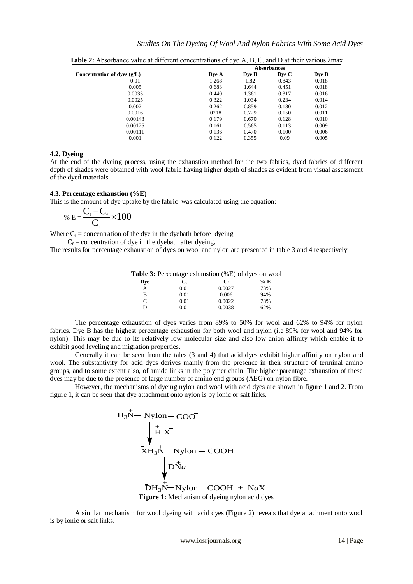|                               | <b>Absorbances</b> |       |       |       |  |
|-------------------------------|--------------------|-------|-------|-------|--|
| Concentration of dyes $(g/L)$ | Dve A              | Dve B | Dve C | Dve D |  |
| 0.01                          | 1.268              | 1.82  | 0.843 | 0.018 |  |
| 0.005                         | 0.683              | 1.644 | 0.451 | 0.018 |  |
| 0.0033                        | 0.440              | 1.361 | 0.317 | 0.016 |  |
| 0.0025                        | 0.322              | 1.034 | 0.234 | 0.014 |  |
| 0.002                         | 0.262              | 0.859 | 0.180 | 0.012 |  |
| 0.0016                        | 0218               | 0.729 | 0.150 | 0.011 |  |
| 0.00143                       | 0.179              | 0.670 | 0.128 | 0.010 |  |
| 0.00125                       | 0.161              | 0.565 | 0.113 | 0.009 |  |
| 0.00111                       | 0.136              | 0.470 | 0.100 | 0.006 |  |
| 0.001                         | 0.122              | 0.355 | 0.09  | 0.005 |  |

**Table 2:** Absorbance value at different concentrations of dye A, B, C, and D at their various λmax

## **4.2. Dyeing**

At the end of the dyeing process, using the exhaustion method for the two fabrics, dyed fabrics of different depth of shades were obtained with wool fabric having higher depth of shades as evident from visual assessment of the dyed materials.

#### **4.3. Percentage exhaustion (%E)**

This is the amount of dye uptake by the fabric was calculated using the equation:

$$
\% E = \frac{C_i - C_f}{C_i} \times 100
$$

Where  $C_i$  = concentration of the dye in the dyebath before dyeing

 $C_f$  = concentration of dye in the dyebath after dyeing.

The results for percentage exhaustion of dyes on wool and nylon are presented in table 3 and 4 respectively.

| <b>Table 3:</b> Percentage exhaustion (%E) of dyes on wool |  |
|------------------------------------------------------------|--|
|------------------------------------------------------------|--|

|     | ັ         |            |     |
|-----|-----------|------------|-----|
| Dve |           | $\rm{C}_f$ | % E |
| А   | 0.01      | 0.0027     | 73% |
| B   | 0.01      | 0.006      | 94% |
| С   | 0.01      | 0.0022     | 78% |
| D   | $_{0.01}$ | 0.0038     | 62% |

The percentage exhaustion of dyes varies from 89% to 50% for wool and 62% to 94% for nylon fabrics. Dye B has the highest percentage exhaustion for both wool and nylon (i.e 89% for wool and 94% for nylon). This may be due to its relatively low molecular size and also low anion affinity which enable it to exhibit good leveling and migration properties.

Generally it can be seen from the tales (3 and 4) that acid dyes exhibit higher affinity on nylon and wool. The substantivity for acid dyes derives mainly from the presence in their structure of terminal amino groups, and to some extent also, of amide links in the polymer chain. The higher parentage exhaustion of these dyes may be due to the presence of large number of amino end groups (AEG) on nylon fibre.

However, the mechanisms of dyeing nylon and wool with acid dyes are shown in figure 1 and 2. From figure 1, it can be seen that dye attachment onto nylon is by ionic or salt links.

$$
H_3\overset{+}{N}-\text{Nylon}-\text{COO}^-
$$
\n
$$
\overset{+}{X}H_3\overset{-}{N}-\text{Nylon}-\text{COOH}
$$
\n
$$
\overset{+}{\overline{D}}H_3\overset{+}{N}-\text{Nylon}-\text{COOH} + \text{N}aX
$$
\n
$$
\overset{-}{\text{Figure 1: Mechanism of dyeing nylon acid dyes}}
$$

A similar mechanism for wool dyeing with acid dyes (Figure 2) reveals that dye attachment onto wool is by ionic or salt links.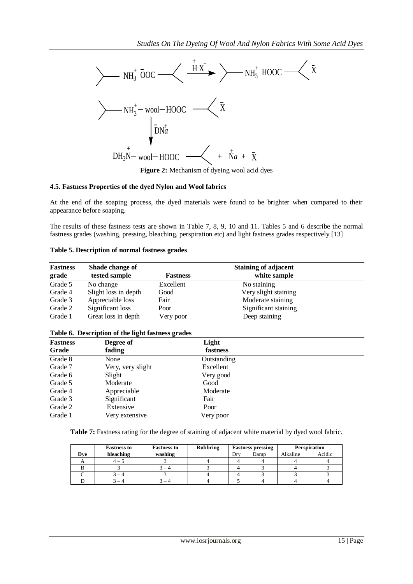

**Figure 2:** Mechanism of dyeing wool acid dyes

## **4.5. Fastness Properties of the dyed Nylon and Wool fabrics**

| <b>Fastness</b> | Shade change of      |                 | <b>Staining of adjacent</b> |  |
|-----------------|----------------------|-----------------|-----------------------------|--|
| grade           | tested sample        | <b>Fastness</b> | white sample                |  |
| Grade 5         | No change            | Excellent       | No staining                 |  |
| Grade 4         | Slight loss in depth | Good            | Very slight staining        |  |
| Grade 3         | Appreciable loss     | Fair            | Moderate staining           |  |
| Grade 2         | Significant loss     | Poor            | Significant staining        |  |
| Grade 1         | Great loss in depth  | Very poor       | Deep staining               |  |

#### **Table 6. Description of the light fastness grades**

|                          |             |                                                                                                                                                                                                                               | $NH_3^+$ – wool – HOOC –<br>$\begin{bmatrix} 1 \\ DMa \end{bmatrix}$                |                      |                |                                     |              |        |           |
|--------------------------|-------------|-------------------------------------------------------------------------------------------------------------------------------------------------------------------------------------------------------------------------------|-------------------------------------------------------------------------------------|----------------------|----------------|-------------------------------------|--------------|--------|-----------|
|                          |             |                                                                                                                                                                                                                               |                                                                                     |                      |                |                                     |              |        |           |
|                          |             |                                                                                                                                                                                                                               | $DH_3N$ – wool – HOOC – $\leftarrow$ + $\overrightarrow{Na}$ + $\overrightarrow{X}$ |                      |                |                                     |              |        |           |
|                          |             |                                                                                                                                                                                                                               | Figure 2: Mechanism of dyeing wool acid dyes                                        |                      |                |                                     |              |        |           |
|                          |             | 4.5. Fastness Properties of the dyed Nylon and Wool fabrics                                                                                                                                                                   |                                                                                     |                      |                |                                     |              |        |           |
|                          |             | At the end of the soaping process, the dyed materials were found to be brighter when compared to their<br>appearance before soaping.                                                                                          |                                                                                     |                      |                |                                     |              |        |           |
|                          |             | The results of these fastness tests are shown in Table 7, 8, 9, 10 and 11. Tables 5 and 6 describe the normal<br>fastness grades (washing, pressing, bleaching, perspiration etc) and light fastness grades respectively [13] |                                                                                     |                      |                |                                     |              |        |           |
|                          |             | Table 5. Description of normal fastness grades                                                                                                                                                                                |                                                                                     |                      |                |                                     |              |        |           |
| <b>Fastness</b>          |             | Shade change of                                                                                                                                                                                                               |                                                                                     |                      |                | <b>Staining of adjacent</b>         |              |        |           |
| grade                    |             | tested sample                                                                                                                                                                                                                 | <b>Fastness</b>                                                                     |                      |                | white sample                        |              |        |           |
| Grade 5<br>Grade 4       |             | No change<br>Slight loss in depth                                                                                                                                                                                             | Excellent<br>Good                                                                   |                      |                | No staining<br>Very slight staining |              |        |           |
| Grade 3                  |             | Appreciable loss                                                                                                                                                                                                              | Fair                                                                                |                      |                | Moderate staining                   |              |        |           |
| Grade 2                  |             | Significant loss                                                                                                                                                                                                              | Poor                                                                                |                      |                | Significant staining                |              |        |           |
| Grade 1                  |             | Great loss in depth                                                                                                                                                                                                           | Very poor                                                                           |                      |                | Deep staining                       |              |        |           |
|                          |             | Table 6. Description of the light fastness grades                                                                                                                                                                             |                                                                                     |                      |                |                                     |              |        |           |
| <b>Fastness</b><br>Grade |             | Degree of<br>fading                                                                                                                                                                                                           |                                                                                     | Light<br>fastness    |                |                                     |              |        |           |
| Grade 8                  |             | None                                                                                                                                                                                                                          |                                                                                     | Outstanding          |                |                                     |              |        |           |
| Grade 7                  |             | Very, very slight                                                                                                                                                                                                             |                                                                                     | Excellent            |                |                                     |              |        |           |
| Grade 6                  |             | Slight                                                                                                                                                                                                                        |                                                                                     | Very good            |                |                                     |              |        |           |
| Grade 5<br>Grade 4       |             | Moderate<br>Appreciable                                                                                                                                                                                                       |                                                                                     | Good<br>Moderate     |                |                                     |              |        |           |
| Grade 3                  |             | Significant                                                                                                                                                                                                                   |                                                                                     | Fair                 |                |                                     |              |        |           |
| Grade 2                  |             | Extensive                                                                                                                                                                                                                     |                                                                                     | Poor                 |                |                                     |              |        |           |
| Grade 1                  |             | Very extensive                                                                                                                                                                                                                |                                                                                     | Very poor            |                |                                     |              |        |           |
|                          |             | Table 7: Fastness rating for the degree of staining of adjacent white material by dyed wool fabric.                                                                                                                           |                                                                                     |                      |                |                                     |              |        |           |
|                          |             | <b>Fastness to</b>                                                                                                                                                                                                            | <b>Fastness to</b>                                                                  | <b>Rubbring</b>      |                | <b>Fastness pressing</b>            | Perspiration |        |           |
|                          | Dye         | bleaching                                                                                                                                                                                                                     | washing                                                                             |                      | Dry            | Damp                                | Alkaline     | Acidic |           |
|                          | A<br>B      | $4 - 5$<br>3                                                                                                                                                                                                                  | 3<br>$3 - 4$                                                                        | 4<br>3               | 4<br>4         | 4<br>3                              | 4<br>4       | 4<br>3 |           |
|                          | $\mathbf C$ | $3 - 4$                                                                                                                                                                                                                       | 3                                                                                   | $\overline{4}$       | $\overline{4}$ | 3                                   | 3            | 3      |           |
|                          | D           | $3 - 4$                                                                                                                                                                                                                       | $3 - 4$                                                                             | 4                    | 5              | 4                                   | 4            | 4      |           |
|                          |             |                                                                                                                                                                                                                               |                                                                                     | www.iosrjournals.org |                |                                     |              |        | 15   Page |

|     | <b>Fastness to</b> | <b>Fastness to</b>       | <b>Rubbring</b> | <b>Fastness pressing</b> |      | <b>Perspiration</b> |        |
|-----|--------------------|--------------------------|-----------------|--------------------------|------|---------------------|--------|
| Dve | bleaching          | washing                  |                 | Drv                      | Damp | Alkaline            | Acidic |
|     | $4-5$              |                          |                 |                          |      |                     |        |
|     |                    | $\overline{\phantom{0}}$ |                 |                          |      |                     |        |
|     | - 4                |                          |                 |                          |      |                     |        |
|     |                    | $\overline{\phantom{a}}$ |                 |                          |      |                     |        |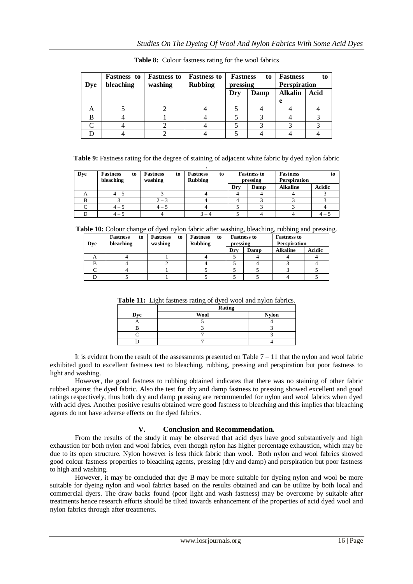| <b>Dye</b> | <b>Fastness</b> to<br>bleaching | <b>Fastness to</b><br>washing | <b>Fastness to</b><br><b>Rubbing</b> | <b>Fastness</b><br>to<br>pressing |      | <b>Fastness</b><br><b>Perspiration</b> | to   |
|------------|---------------------------------|-------------------------------|--------------------------------------|-----------------------------------|------|----------------------------------------|------|
|            |                                 |                               |                                      | Dry                               | Damp | <b>Alkalin</b>                         | Acid |
|            |                                 |                               |                                      |                                   |      | e                                      |      |
| Α          |                                 |                               |                                      |                                   |      |                                        |      |
| B          |                                 |                               |                                      |                                   |      |                                        |      |
|            |                                 |                               |                                      |                                   |      |                                        |      |
|            |                                 |                               |                                      |                                   |      |                                        |      |

**Table 8:** Colour fastness rating for the wool fabrics

**Table 9:** Fastness rating for the degree of staining of adjacent white fabric by dyed nylon fabric

| <b>Dye</b> | <b>Fastness</b><br>to | <b>Fastness</b><br>to | <b>Fastness</b><br>to |     | <b>Fastness to</b> | <b>Fastness</b>     | to            |
|------------|-----------------------|-----------------------|-----------------------|-----|--------------------|---------------------|---------------|
|            | bleaching             | washing               | <b>Rubbing</b>        |     | pressing           | <b>Perspiration</b> |               |
|            |                       |                       |                       | Dry | Damp               | <b>Alkaline</b>     | <b>Acidic</b> |
| A          | $4 - 5$               |                       |                       |     |                    |                     |               |
| в          |                       | $2 - 3$               |                       |     |                    |                     |               |
|            | $4 - 5$               | $4 - 5$               |                       |     |                    |                     |               |
|            | $4 - 5$               |                       |                       |     |                    |                     | 4 –           |

**Table 10:** Colour change of dyed nylon fabric after washing, bleaching, rubbing and pressing.

| Dve | <b>Fastness</b><br>to<br>bleaching | Fastness<br>to<br>washing | <b>Fastness to</b><br><b>Fastness to</b><br><b>Fastness</b><br>to<br><b>Rubbing</b><br><b>Perspiration</b><br>pressing |     |      |                 |        |
|-----|------------------------------------|---------------------------|------------------------------------------------------------------------------------------------------------------------|-----|------|-----------------|--------|
|     |                                    |                           |                                                                                                                        | Dry | Damp | <b>Alkaline</b> | Acidic |
| A   |                                    |                           |                                                                                                                        |     |      |                 |        |
|     |                                    |                           |                                                                                                                        |     |      |                 |        |
|     |                                    |                           |                                                                                                                        |     |      |                 |        |
|     |                                    |                           |                                                                                                                        |     |      |                 |        |

|  |  |  | Table 11: Light fastness rating of dyed wool and nylon fabrics. |  |
|--|--|--|-----------------------------------------------------------------|--|
|--|--|--|-----------------------------------------------------------------|--|

|     | <b>Rating</b> |              |
|-----|---------------|--------------|
| Dve | <b>Wool</b>   | <b>Nylon</b> |
|     |               |              |
|     |               |              |
|     |               |              |
|     |               |              |
|     |               |              |

It is evident from the result of the assessments presented on Table  $7 - 11$  that the nylon and wool fabric exhibited good to excellent fastness test to bleaching, rubbing, pressing and perspiration but poor fastness to light and washing.

However, the good fastness to rubbing obtained indicates that there was no staining of other fabric rubbed against the dyed fabric. Also the test for dry and damp fastness to pressing showed excellent and good ratings respectively, thus both dry and damp pressing are recommended for nylon and wool fabrics when dyed with acid dyes. Another positive results obtained were good fastness to bleaching and this implies that bleaching agents do not have adverse effects on the dyed fabrics.

# **V. Conclusion and Recommendation.**

From the results of the study it may be observed that acid dyes have good substantively and high exhaustion for both nylon and wool fabrics, even though nylon has higher percentage exhaustion, which may be due to its open structure. Nylon however is less thick fabric than wool. Both nylon and wool fabrics showed good colour fastness properties to bleaching agents, pressing (dry and damp) and perspiration but poor fastness to high and washing.

However, it may be concluded that dye B may be more suitable for dyeing nylon and wool be more suitable for dyeing nylon and wool fabrics based on the results obtained and can be utilize by both local and commercial dyers. The draw backs found (poor light and wash fastness) may be overcome by suitable after treatments hence research efforts should be tilted towards enhancement of the properties of acid dyed wool and nylon fabrics through after treatments.